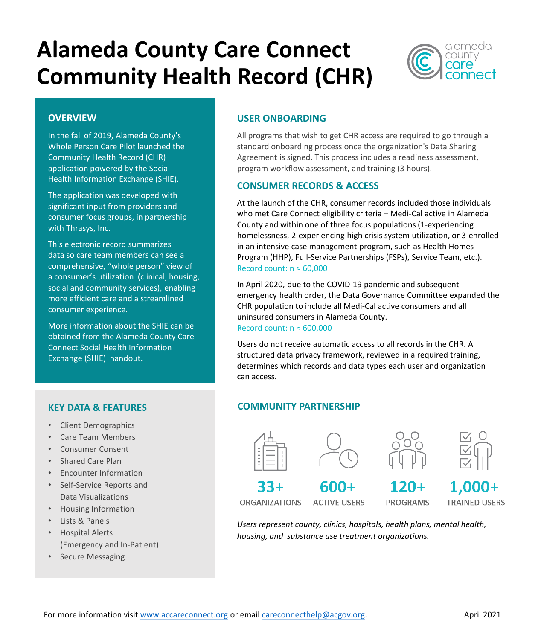# **Alameda County Care Connect Community Health Record (CHR)**



### **OVERVIEW**

In the fall of 2019, Alameda County's Whole Person Care Pilot launched the Community Health Record (CHR) application powered by the Social Health Information Exchange (SHIE).

The application was developed with significant input from providers and consumer focus groups, in partnership with Thrasys, Inc.

This electronic record summarizes data so care team members can see a comprehensive, "whole person" view of a consumer's utilization (clinical, housing, social and community services), enabling more efficient care and a streamlined consumer experience.

More information about the SHIE can be obtained from the Alameda County Care Connect Social Health Information Exchange (SHIE) handout.

# **KEY DATA & FEATURES**

- Client Demographics
- Care Team Members
- Consumer Consent
- Shared Care Plan
- Encounter Information
- Self-Service Reports and Data Visualizations
- Housing Information
- Lists & Panels
- Hospital Alerts (Emergency and In-Patient)
- Secure Messaging

# **USER ONBOARDING**

All programs that wish to get CHR access are required to go through a standard onboarding process once the organization's Data Sharing Agreement is signed. This process includes a readiness assessment, program workflow assessment, and training (3 hours).

## **CONSUMER RECORDS & ACCESS**

At the launch of the CHR, consumer records included those individuals who met Care Connect eligibility criteria – Medi-Cal active in Alameda County and within one of three focus populations (1-experiencing homelessness, 2-experiencing high crisis system utilization, or 3-enrolled in an intensive case management program, such as Health Homes Program (HHP), Full-Service Partnerships (FSPs), Service Team, etc.). Record count:  $n \approx 60,000$ 

In April 2020, due to the COVID-19 pandemic and subsequent emergency health order, the Data Governance Committee expanded the CHR population to include all Medi-Cal active consumers and all uninsured consumers in Alameda County. Record count:  $n \approx 600,000$ 

Users do not receive automatic access to all records in the CHR. A structured data privacy framework, reviewed in a required training, determines which records and data types each user and organization can access.

# **COMMUNITY PARTNERSHIP**









 $33+$ **ORGANIZATIONS** 

 $600 +$ **ACTIVE USERS** 

 $120 +$ **PROGRAMS** 

 $1.000 +$ **TRAINED USERS** 

*Users represent county, clinics, hospitals, health plans, mental health, housing, and substance use treatment organizations.*